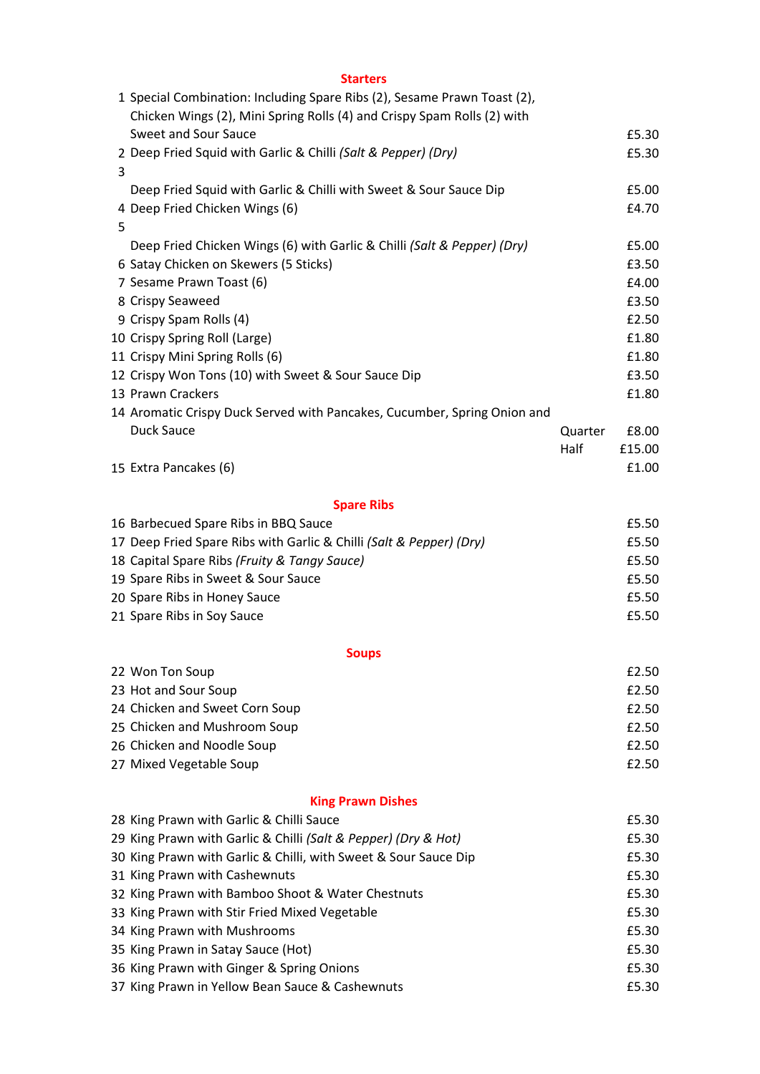|   | <b>Starters</b>                                                          |         |        |
|---|--------------------------------------------------------------------------|---------|--------|
|   | 1 Special Combination: Including Spare Ribs (2), Sesame Prawn Toast (2), |         |        |
|   | Chicken Wings (2), Mini Spring Rolls (4) and Crispy Spam Rolls (2) with  |         |        |
|   | <b>Sweet and Sour Sauce</b>                                              |         | £5.30  |
|   | 2 Deep Fried Squid with Garlic & Chilli (Salt & Pepper) (Dry)            |         | £5.30  |
| 3 |                                                                          |         |        |
|   | Deep Fried Squid with Garlic & Chilli with Sweet & Sour Sauce Dip        |         | £5.00  |
|   | 4 Deep Fried Chicken Wings (6)                                           |         | £4.70  |
| 5 |                                                                          |         |        |
|   | Deep Fried Chicken Wings (6) with Garlic & Chilli (Salt & Pepper) (Dry)  |         | £5.00  |
|   | 6 Satay Chicken on Skewers (5 Sticks)                                    |         | £3.50  |
|   | 7 Sesame Prawn Toast (6)                                                 |         | £4.00  |
|   | 8 Crispy Seaweed                                                         |         | £3.50  |
|   | 9 Crispy Spam Rolls (4)                                                  |         | £2.50  |
|   | 10 Crispy Spring Roll (Large)                                            |         | £1.80  |
|   | 11 Crispy Mini Spring Rolls (6)                                          |         | £1.80  |
|   | 12 Crispy Won Tons (10) with Sweet & Sour Sauce Dip                      |         | £3.50  |
|   | 13 Prawn Crackers                                                        |         | £1.80  |
|   | 14 Aromatic Crispy Duck Served with Pancakes, Cucumber, Spring Onion and |         |        |
|   | <b>Duck Sauce</b>                                                        | Quarter | £8.00  |
|   |                                                                          | Half    | £15.00 |
|   | 15 Extra Pancakes (6)                                                    |         | £1.00  |
|   |                                                                          |         |        |
|   | <b>Spare Ribs</b>                                                        |         |        |
|   | 16 Barbecued Spare Ribs in BBQ Sauce                                     |         | £5.50  |
|   | 17 Deep Fried Spare Ribs with Garlic & Chilli (Salt & Pepper) (Dry)      |         | £5.50  |
|   | 18 Capital Spare Ribs (Fruity & Tangy Sauce)                             |         | £5.50  |
|   | 19 Spare Ribs in Sweet & Sour Sauce                                      |         | £5.50  |
|   | 20 Spare Ribs in Honey Sauce                                             |         | £5.50  |
|   | 21 Spare Ribs in Soy Sauce                                               |         | £5.50  |
|   |                                                                          |         |        |
|   | <b>Soups</b>                                                             |         |        |
|   | 22 Won Ton Soup                                                          |         | £2.50  |
|   | 23 Hot and Sour Soup                                                     |         | £2.50  |
|   | 24 Chicken and Sweet Corn Soup                                           |         | £2.50  |
|   | 25 Chicken and Mushroom Soup                                             |         | £2.50  |
|   | 26 Chicken and Noodle Soup                                               |         | £2.50  |
|   | 27 Mixed Vegetable Soup                                                  |         | £2.50  |
|   |                                                                          |         |        |
|   | <b>King Prawn Dishes</b>                                                 |         |        |
|   | 28 King Prawn with Garlic & Chilli Sauce                                 |         | £5.30  |
|   | 29 King Prawn with Garlic & Chilli (Salt & Pepper) (Dry & Hot)           |         | £5.30  |
|   | 30 King Prawn with Garlic & Chilli, with Sweet & Sour Sauce Dip          |         | £5.30  |
|   | 31 King Prawn with Cashewnuts                                            |         | £5.30  |
|   | 32 King Prawn with Bamboo Shoot & Water Chestnuts                        |         | £5.30  |
|   | 33 King Prawn with Stir Fried Mixed Vegetable                            |         | £5.30  |
|   | 34 King Prawn with Mushrooms                                             |         | £5.30  |
|   | 35 King Prawn in Satay Sauce (Hot)                                       |         | £5.30  |
|   | 36 King Prawn with Ginger & Spring Onions                                |         | £5.30  |
|   | 37 King Prawn in Yellow Bean Sauce & Cashewnuts                          |         | £5.30  |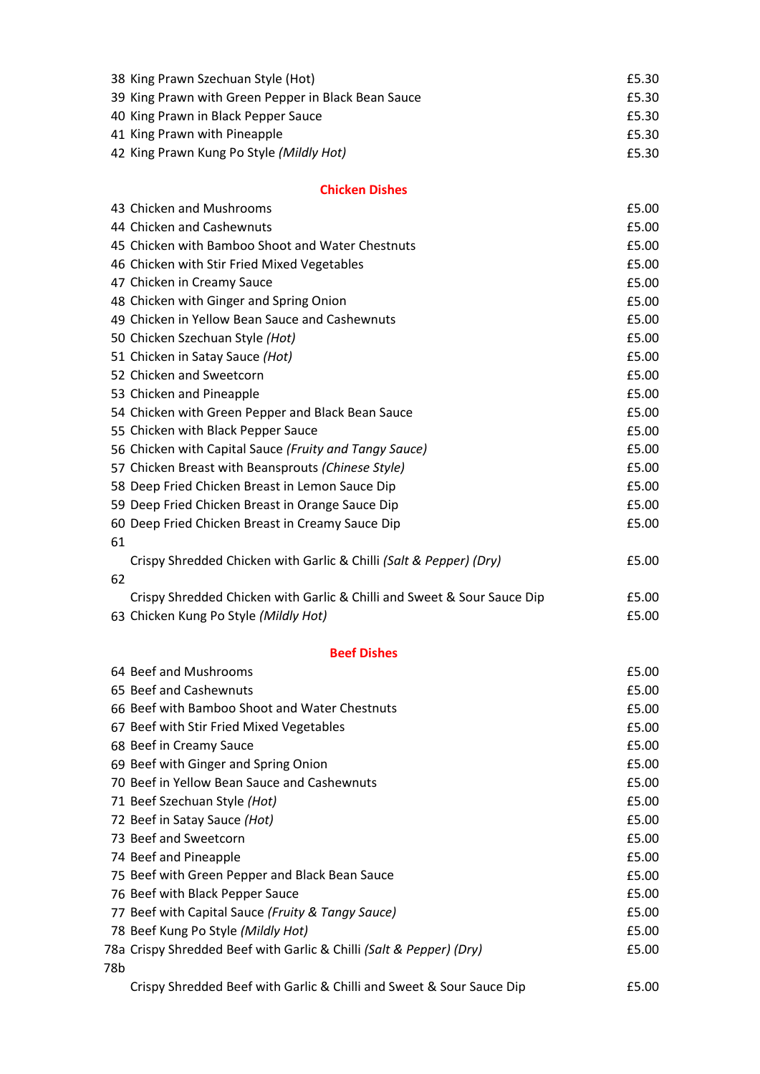| 38 King Prawn Szechuan Style (Hot)                  | £5.30 |
|-----------------------------------------------------|-------|
| 39 King Prawn with Green Pepper in Black Bean Sauce | £5.30 |
| 40 King Prawn in Black Pepper Sauce                 | £5.30 |
| 41 King Prawn with Pineapple                        | £5.30 |
| 42 King Prawn Kung Po Style (Mildly Hot)            | £5.30 |

43 Chicken and Mushrooms **E5.00** 

### **Chicken Dishes**

|    | 44 Chicken and Cashewnuts                                                           | £5.00          |
|----|-------------------------------------------------------------------------------------|----------------|
|    | 45 Chicken with Bamboo Shoot and Water Chestnuts                                    | £5.00          |
|    | 46 Chicken with Stir Fried Mixed Vegetables                                         | £5.00          |
|    | 47 Chicken in Creamy Sauce                                                          | £5.00          |
|    | 48 Chicken with Ginger and Spring Onion                                             | £5.00          |
|    | 49 Chicken in Yellow Bean Sauce and Cashewnuts                                      | £5.00          |
|    | 50 Chicken Szechuan Style (Hot)                                                     | £5.00          |
|    | 51 Chicken in Satay Sauce (Hot)                                                     | £5.00          |
|    | 52 Chicken and Sweetcorn                                                            | £5.00          |
|    | 53 Chicken and Pineapple                                                            | £5.00          |
|    | 54 Chicken with Green Pepper and Black Bean Sauce                                   | £5.00          |
|    | 55 Chicken with Black Pepper Sauce                                                  | £5.00          |
|    | 56 Chicken with Capital Sauce (Fruity and Tangy Sauce)                              | £5.00          |
|    | 57 Chicken Breast with Beansprouts (Chinese Style)                                  | £5.00          |
|    | 58 Deep Fried Chicken Breast in Lemon Sauce Dip                                     | £5.00          |
|    | 59 Deep Fried Chicken Breast in Orange Sauce Dip                                    | £5.00          |
|    | 60 Deep Fried Chicken Breast in Creamy Sauce Dip                                    | £5.00          |
| 61 |                                                                                     |                |
|    | Crispy Shredded Chicken with Garlic & Chilli (Salt & Pepper) (Dry)                  | £5.00          |
| 62 |                                                                                     |                |
|    | Crispy Shredded Chicken with Garlic & Chilli and Sweet & Sour Sauce Dip             | £5.00          |
|    | 63 Chicken Kung Po Style (Mildly Hot)                                               | £5.00          |
|    |                                                                                     |                |
|    | <b>Beef Dishes</b>                                                                  |                |
|    | 64 Beef and Mushrooms                                                               | £5.00          |
|    | 65 Beef and Cashewnuts                                                              | £5.00          |
|    | 66 Beef with Bamboo Shoot and Water Chestnuts                                       | £5.00          |
|    | 67 Beef with Stir Fried Mixed Vegetables                                            | £5.00<br>£5.00 |
|    | 68 Beef in Creamy Sauce                                                             |                |
|    | 69 Beef with Ginger and Spring Onion<br>70 Beef in Yellow Bean Sauce and Cashewnuts | £5.00          |
|    | 71 Beef Szechuan Style (Hot)                                                        | £5.00<br>£5.00 |
|    | 72 Beef in Satay Sauce (Hot)                                                        | £5.00          |
|    | 73 Beef and Sweetcorn                                                               | £5.00          |
|    | 74 Beef and Pineapple                                                               | £5.00          |
|    | 75 Beef with Green Pepper and Black Bean Sauce                                      | £5.00          |
|    | 76 Beef with Black Pepper Sauce                                                     | £5.00          |
|    | 77 Beef with Capital Sauce (Fruity & Tangy Sauce)                                   | £5.00          |
|    | 78 Beef Kung Po Style (Mildly Hot)                                                  | £5.00          |
|    | 78a Crispy Shredded Beef with Garlic & Chilli (Salt & Pepper) (Dry)                 | £5.00          |
|    |                                                                                     |                |

78b

Crispy Shredded Beef with Garlic & Chilli and Sweet & Sour Sauce Dip £5.00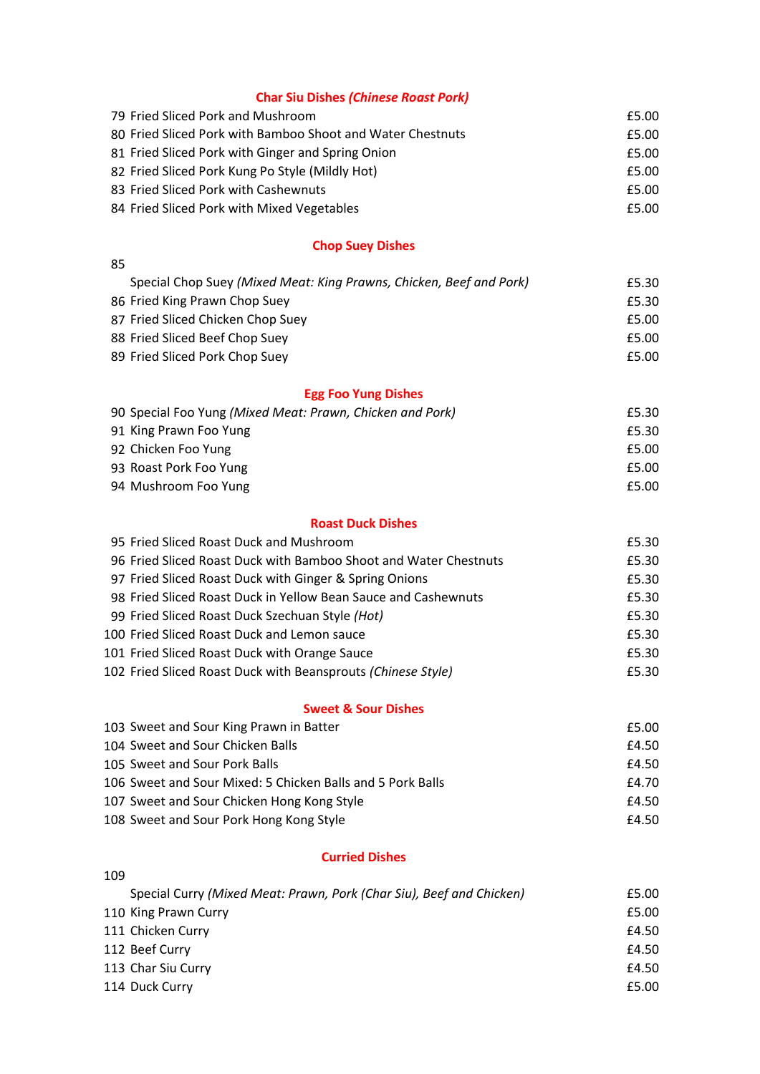# **Char Siu Dishes** *(Chinese Roast Pork)*

| 79 Fried Sliced Pork and Mushroom                          | £5.00 |
|------------------------------------------------------------|-------|
| 80 Fried Sliced Pork with Bamboo Shoot and Water Chestnuts | £5.00 |
| 81 Fried Sliced Pork with Ginger and Spring Onion          | £5.00 |
| 82 Fried Sliced Pork Kung Po Style (Mildly Hot)            | £5.00 |
| 83 Fried Sliced Pork with Cashewnuts                       | £5.00 |
| 84 Fried Sliced Pork with Mixed Vegetables                 | £5.00 |

# **Chop Suey Dishes**

| Special Chop Suey (Mixed Meat: King Prawns, Chicken, Beef and Pork)<br>£5.30 |
|------------------------------------------------------------------------------|
| £5.30                                                                        |
| £5.00                                                                        |
| £5.00                                                                        |
| £5.00                                                                        |
|                                                                              |

# **Egg Foo Yung Dishes**

| 90 Special Foo Yung (Mixed Meat: Prawn, Chicken and Pork) | £5.30 |
|-----------------------------------------------------------|-------|
| 91 King Prawn Foo Yung                                    | £5.30 |
| 92 Chicken Foo Yung                                       | £5.00 |
| 93 Roast Pork Foo Yung                                    | £5.00 |
| 94 Mushroom Foo Yung                                      | £5.00 |

### **Roast Duck Dishes**

| 95 Fried Sliced Roast Duck and Mushroom                          | £5.30 |
|------------------------------------------------------------------|-------|
| 96 Fried Sliced Roast Duck with Bamboo Shoot and Water Chestnuts | £5.30 |
| 97 Fried Sliced Roast Duck with Ginger & Spring Onions           | £5.30 |
| 98 Fried Sliced Roast Duck in Yellow Bean Sauce and Cashewnuts   | £5.30 |
| 99 Fried Sliced Roast Duck Szechuan Style (Hot)                  | £5.30 |
| 100 Fried Sliced Roast Duck and Lemon sauce                      | £5.30 |
| 101 Fried Sliced Roast Duck with Orange Sauce                    | £5.30 |
| 102 Fried Sliced Roast Duck with Beansprouts (Chinese Style)     | £5.30 |
|                                                                  |       |

### **Sweet & Sour Dishes**

| 103 Sweet and Sour King Prawn in Batter                    | £5.00 |
|------------------------------------------------------------|-------|
| 104 Sweet and Sour Chicken Balls                           | £4.50 |
| 105 Sweet and Sour Pork Balls                              | £4.50 |
| 106 Sweet and Sour Mixed: 5 Chicken Balls and 5 Pork Balls | £4.70 |
| 107 Sweet and Sour Chicken Hong Kong Style                 | £4.50 |
| 108 Sweet and Sour Pork Hong Kong Style                    | £4.50 |

#### **Curried Dishes**

| 109 |                                                                      |       |
|-----|----------------------------------------------------------------------|-------|
|     | Special Curry (Mixed Meat: Prawn, Pork (Char Siu), Beef and Chicken) | £5.00 |
|     | 110 King Prawn Curry                                                 | £5.00 |
|     | 111 Chicken Curry                                                    | £4.50 |
|     | 112 Beef Curry                                                       | £4.50 |
|     | 113 Char Siu Curry                                                   | £4.50 |
|     | 114 Duck Curry                                                       | £5.00 |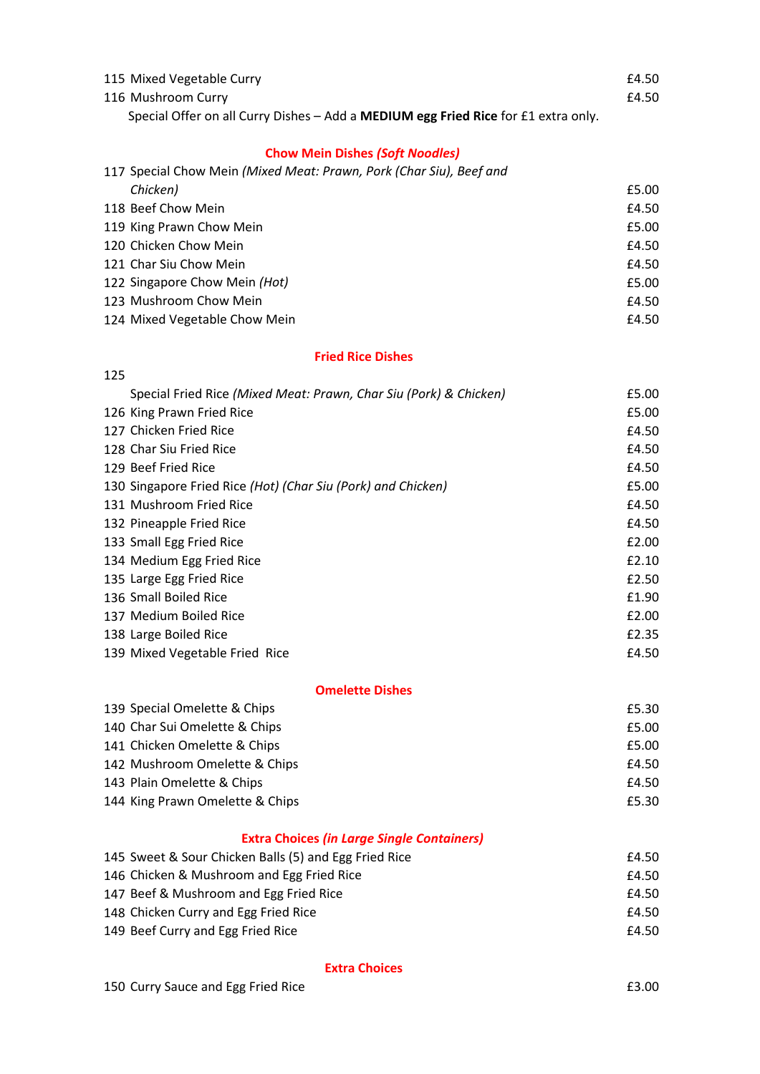| 115 Mixed Vegetable Curry                                                                   | £4.50 |
|---------------------------------------------------------------------------------------------|-------|
| 116 Mushroom Curry                                                                          | £4.50 |
| Special Offer on all Curry Dishes $-$ Add a <b>MEDIUM egg Fried Rice</b> for £1 extra only. |       |

# **Chow Mein Dishes** *(Soft Noodles)*

| 117 Special Chow Mein (Mixed Meat: Prawn, Pork (Char Siu), Beef and |       |
|---------------------------------------------------------------------|-------|
| Chicken)                                                            | £5.00 |
| 118 Beef Chow Mein                                                  | £4.50 |
| 119 King Prawn Chow Mein                                            | £5.00 |
| 120 Chicken Chow Mein                                               | £4.50 |
| 121 Char Siu Chow Mein                                              | £4.50 |
| 122 Singapore Chow Mein (Hot)                                       | £5.00 |
| 123 Mushroom Chow Mein                                              | £4.50 |
| 124 Mixed Vegetable Chow Mein                                       | £4.50 |

#### **Fried Rice Dishes**

| Special Fried Rice (Mixed Meat: Prawn, Char Siu (Pork) & Chicken) | £5.00 |
|-------------------------------------------------------------------|-------|
| 126 King Prawn Fried Rice                                         | £5.00 |
| 127 Chicken Fried Rice                                            | £4.50 |
| 128 Char Siu Fried Rice                                           | £4.50 |
| 129 Beef Fried Rice                                               | £4.50 |
| 130 Singapore Fried Rice (Hot) (Char Siu (Pork) and Chicken)      | £5.00 |
| 131 Mushroom Fried Rice                                           | £4.50 |
| 132 Pineapple Fried Rice                                          | £4.50 |
| 133 Small Egg Fried Rice                                          | £2.00 |
| 134 Medium Egg Fried Rice                                         | £2.10 |
| 135 Large Egg Fried Rice                                          | £2.50 |
| 136 Small Boiled Rice                                             | £1.90 |
| 137 Medium Boiled Rice                                            | £2.00 |
| 138 Large Boiled Rice                                             | £2.35 |
| 139 Mixed Vegetable Fried Rice                                    | £4.50 |

### **Omelette Dishes**

| 139 Special Omelette & Chips    | £5.30 |
|---------------------------------|-------|
| 140 Char Sui Omelette & Chips   | £5.00 |
| 141 Chicken Omelette & Chips    | £5.00 |
| 142 Mushroom Omelette & Chips   | £4.50 |
| 143 Plain Omelette & Chips      | £4.50 |
| 144 King Prawn Omelette & Chips | £5.30 |

# **Extra Choices** *(in Large Single Containers)*

| 145 Sweet & Sour Chicken Balls (5) and Egg Fried Rice | £4.50 |
|-------------------------------------------------------|-------|
| 146 Chicken & Mushroom and Egg Fried Rice             | £4.50 |
| 147 Beef & Mushroom and Egg Fried Rice                | £4.50 |
| 148 Chicken Curry and Egg Fried Rice                  | £4.50 |
| 149 Beef Curry and Egg Fried Rice                     | £4.50 |

#### **Extra Choices**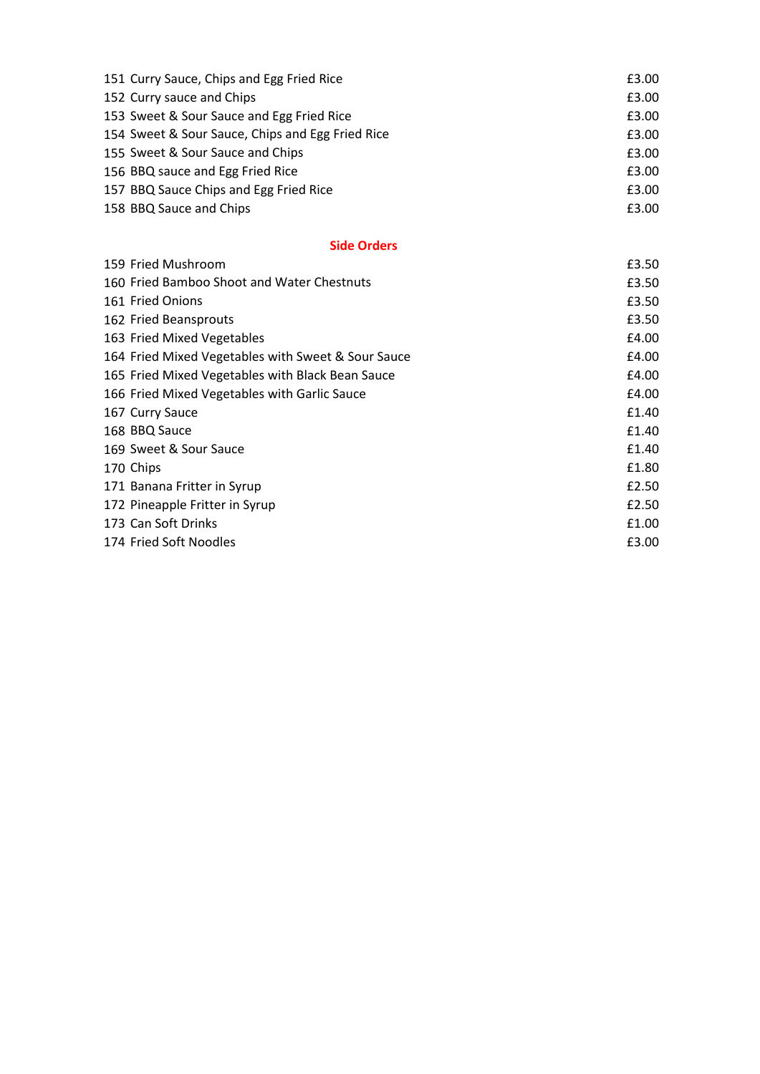| 151 Curry Sauce, Chips and Egg Fried Rice        | £3.00 |
|--------------------------------------------------|-------|
| 152 Curry sauce and Chips                        | £3.00 |
| 153 Sweet & Sour Sauce and Egg Fried Rice        | £3.00 |
| 154 Sweet & Sour Sauce, Chips and Egg Fried Rice | £3.00 |
| 155 Sweet & Sour Sauce and Chips                 | £3.00 |
| 156 BBQ sauce and Egg Fried Rice                 | £3.00 |
| 157 BBQ Sauce Chips and Egg Fried Rice           | £3.00 |
| 158 BBQ Sauce and Chips                          | £3.00 |

### **Side Orders**

| 159 Fried Mushroom                                 | £3.50 |
|----------------------------------------------------|-------|
| 160 Fried Bamboo Shoot and Water Chestnuts         | £3.50 |
| 161 Fried Onions                                   | £3.50 |
| 162 Fried Beansprouts                              | £3.50 |
| 163 Fried Mixed Vegetables                         | £4.00 |
| 164 Fried Mixed Vegetables with Sweet & Sour Sauce | £4.00 |
| 165 Fried Mixed Vegetables with Black Bean Sauce   | £4.00 |
| 166 Fried Mixed Vegetables with Garlic Sauce       | £4.00 |
| 167 Curry Sauce                                    | £1.40 |
| 168 BBQ Sauce                                      | £1.40 |
| 169 Sweet & Sour Sauce                             | £1.40 |
| 170 Chips                                          | £1.80 |
| 171 Banana Fritter in Syrup                        | £2.50 |
| 172 Pineapple Fritter in Syrup                     | £2.50 |
| 173 Can Soft Drinks                                | £1.00 |
| 174 Fried Soft Noodles                             | £3.00 |